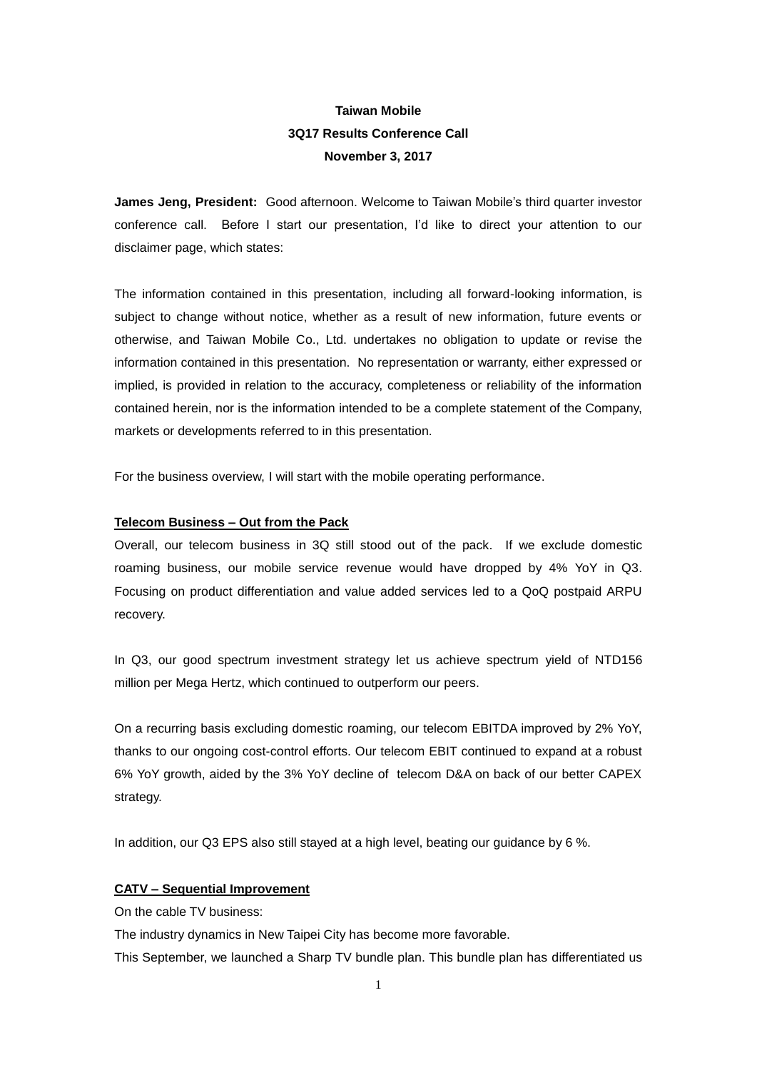# **Taiwan Mobile 3Q17 Results Conference Call November 3, 2017**

**James Jeng, President:** Good afternoon. Welcome to Taiwan Mobile's third quarter investor conference call. Before I start our presentation, I'd like to direct your attention to our disclaimer page, which states:

The information contained in this presentation, including all forward-looking information, is subject to change without notice, whether as a result of new information, future events or otherwise, and Taiwan Mobile Co., Ltd. undertakes no obligation to update or revise the information contained in this presentation. No representation or warranty, either expressed or implied, is provided in relation to the accuracy, completeness or reliability of the information contained herein, nor is the information intended to be a complete statement of the Company, markets or developments referred to in this presentation.

For the business overview, I will start with the mobile operating performance.

# **Telecom Business – Out from the Pack**

Overall, our telecom business in 3Q still stood out of the pack. If we exclude domestic roaming business, our mobile service revenue would have dropped by 4% YoY in Q3. Focusing on product differentiation and value added services led to a QoQ postpaid ARPU recovery.

In Q3, our good spectrum investment strategy let us achieve spectrum yield of NTD156 million per Mega Hertz, which continued to outperform our peers.

On a recurring basis excluding domestic roaming, our telecom EBITDA improved by 2% YoY, thanks to our ongoing cost-control efforts. Our telecom EBIT continued to expand at a robust 6% YoY growth, aided by the 3% YoY decline of telecom D&A on back of our better CAPEX strategy.

In addition, our Q3 EPS also still stayed at a high level, beating our guidance by 6 %.

## **CATV – Sequential Improvement**

On the cable TV business:

The industry dynamics in New Taipei City has become more favorable.

This September, we launched a Sharp TV bundle plan. This bundle plan has differentiated us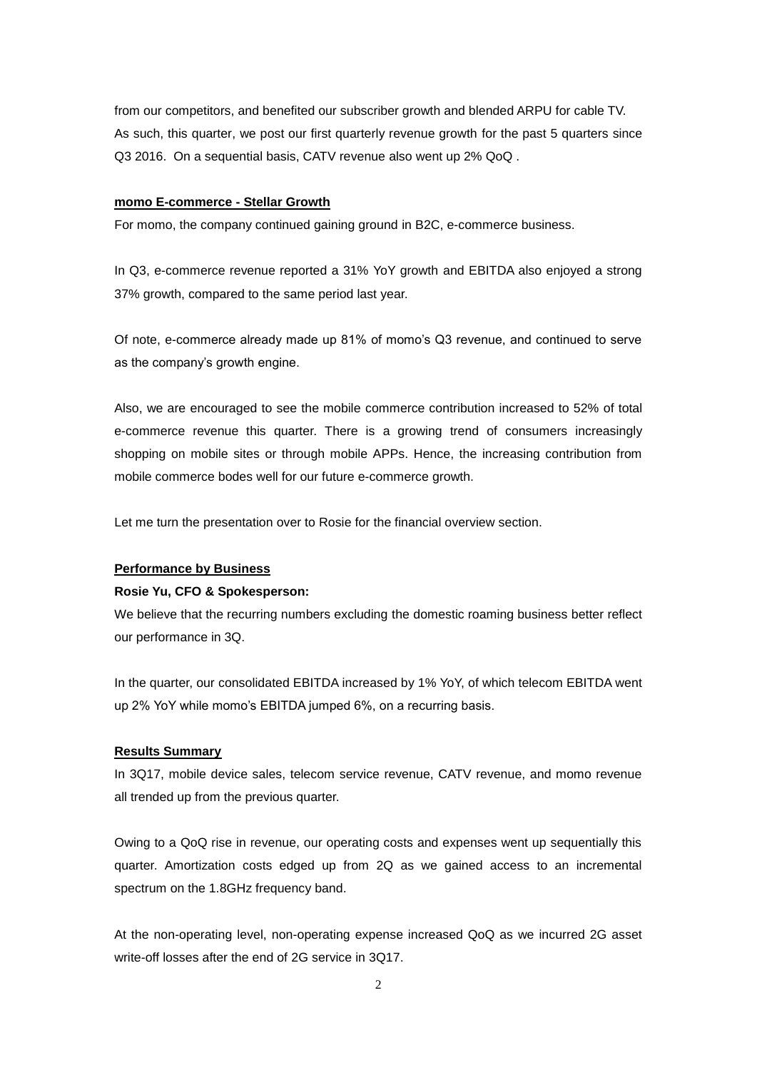from our competitors, and benefited our subscriber growth and blended ARPU for cable TV. As such, this quarter, we post our first quarterly revenue growth for the past 5 quarters since Q3 2016. On a sequential basis, CATV revenue also went up 2% QoQ .

# **momo E-commerce - Stellar Growth**

For momo, the company continued gaining ground in B2C, e-commerce business.

In Q3, e-commerce revenue reported a 31% YoY growth and EBITDA also enjoyed a strong 37% growth, compared to the same period last year.

Of note, e-commerce already made up 81% of momo's Q3 revenue, and continued to serve as the company's growth engine.

Also, we are encouraged to see the mobile commerce contribution increased to 52% of total e-commerce revenue this quarter. There is a growing trend of consumers increasingly shopping on mobile sites or through mobile APPs. Hence, the increasing contribution from mobile commerce bodes well for our future e-commerce growth.

Let me turn the presentation over to Rosie for the financial overview section.

# **Performance by Business**

## **Rosie Yu, CFO & Spokesperson:**

We believe that the recurring numbers excluding the domestic roaming business better reflect our performance in 3Q.

In the quarter, our consolidated EBITDA increased by 1% YoY, of which telecom EBITDA went up 2% YoY while momo's EBITDA jumped 6%, on a recurring basis.

### **Results Summary**

In 3Q17, mobile device sales, telecom service revenue, CATV revenue, and momo revenue all trended up from the previous quarter.

Owing to a QoQ rise in revenue, our operating costs and expenses went up sequentially this quarter. Amortization costs edged up from 2Q as we gained access to an incremental spectrum on the 1.8GHz frequency band.

At the non-operating level, non-operating expense increased QoQ as we incurred 2G asset write-off losses after the end of 2G service in 3Q17.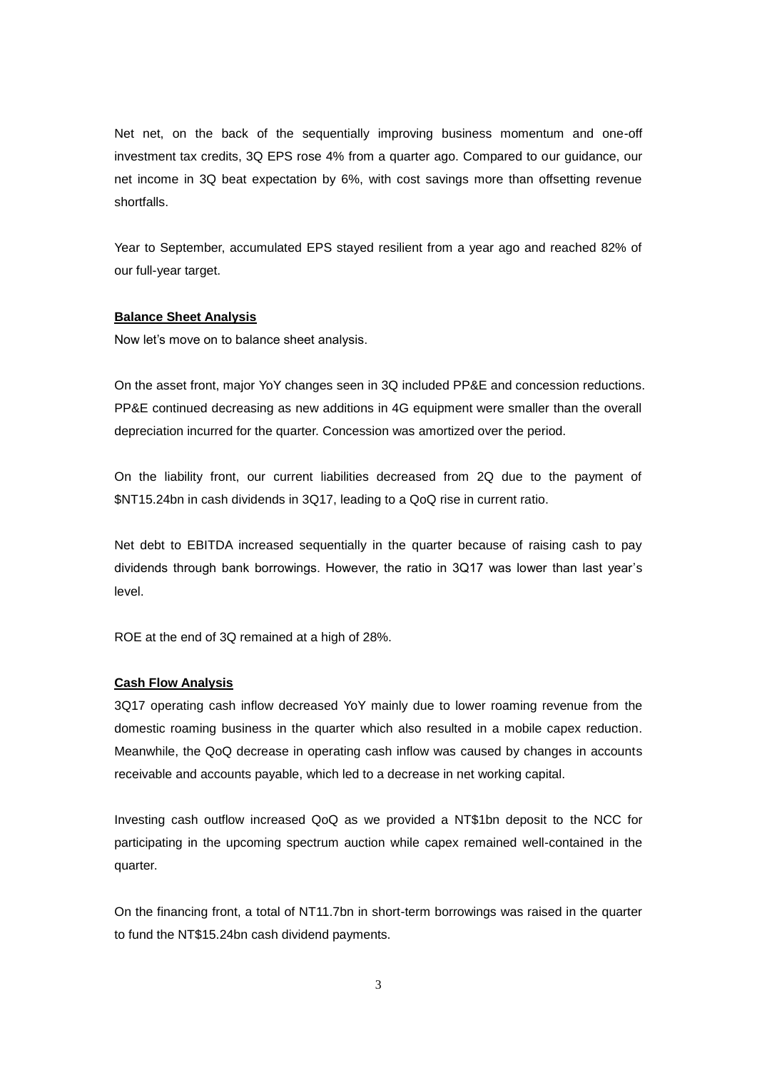Net net, on the back of the sequentially improving business momentum and one-off investment tax credits, 3Q EPS rose 4% from a quarter ago. Compared to our guidance, our net income in 3Q beat expectation by 6%, with cost savings more than offsetting revenue shortfalls.

Year to September, accumulated EPS stayed resilient from a year ago and reached 82% of our full-year target.

## **Balance Sheet Analysis**

Now let's move on to balance sheet analysis.

On the asset front, major YoY changes seen in 3Q included PP&E and concession reductions. PP&E continued decreasing as new additions in 4G equipment were smaller than the overall depreciation incurred for the quarter. Concession was amortized over the period.

On the liability front, our current liabilities decreased from 2Q due to the payment of \$NT15.24bn in cash dividends in 3Q17, leading to a QoQ rise in current ratio.

Net debt to EBITDA increased sequentially in the quarter because of raising cash to pay dividends through bank borrowings. However, the ratio in 3Q17 was lower than last year's level.

ROE at the end of 3Q remained at a high of 28%.

## **Cash Flow Analysis**

3Q17 operating cash inflow decreased YoY mainly due to lower roaming revenue from the domestic roaming business in the quarter which also resulted in a mobile capex reduction. Meanwhile, the QoQ decrease in operating cash inflow was caused by changes in accounts receivable and accounts payable, which led to a decrease in net working capital.

Investing cash outflow increased QoQ as we provided a NT\$1bn deposit to the NCC for participating in the upcoming spectrum auction while capex remained well-contained in the quarter.

On the financing front, a total of NT11.7bn in short-term borrowings was raised in the quarter to fund the NT\$15.24bn cash dividend payments.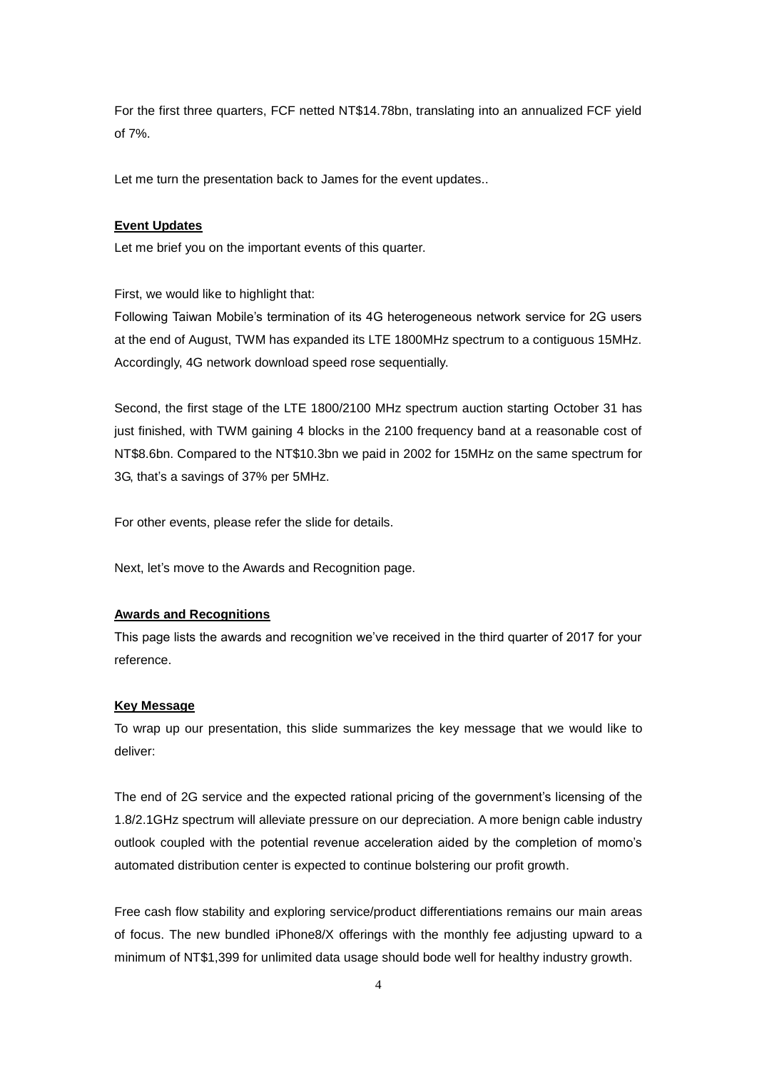For the first three quarters, FCF netted NT\$14.78bn, translating into an annualized FCF yield of 7%.

Let me turn the presentation back to James for the event updates..

# **Event Updates**

Let me brief you on the important events of this quarter.

First, we would like to highlight that:

Following Taiwan Mobile's termination of its 4G heterogeneous network service for 2G users at the end of August, TWM has expanded its LTE 1800MHz spectrum to a contiguous 15MHz. Accordingly, 4G network download speed rose sequentially.

Second, the first stage of the LTE 1800/2100 MHz spectrum auction starting October 31 has just finished, with TWM gaining 4 blocks in the 2100 frequency band at a reasonable cost of NT\$8.6bn. Compared to the NT\$10.3bn we paid in 2002 for 15MHz on the same spectrum for 3G, that's a savings of 37% per 5MHz.

For other events, please refer the slide for details.

Next, let's move to the Awards and Recognition page.

# **Awards and Recognitions**

This page lists the awards and recognition we've received in the third quarter of 2017 for your reference.

#### **Key Message**

To wrap up our presentation, this slide summarizes the key message that we would like to deliver:

The end of 2G service and the expected rational pricing of the government's licensing of the 1.8/2.1GHz spectrum will alleviate pressure on our depreciation. A more benign cable industry outlook coupled with the potential revenue acceleration aided by the completion of momo's automated distribution center is expected to continue bolstering our profit growth.

Free cash flow stability and exploring service/product differentiations remains our main areas of focus. The new bundled iPhone8/X offerings with the monthly fee adjusting upward to a minimum of NT\$1,399 for unlimited data usage should bode well for healthy industry growth.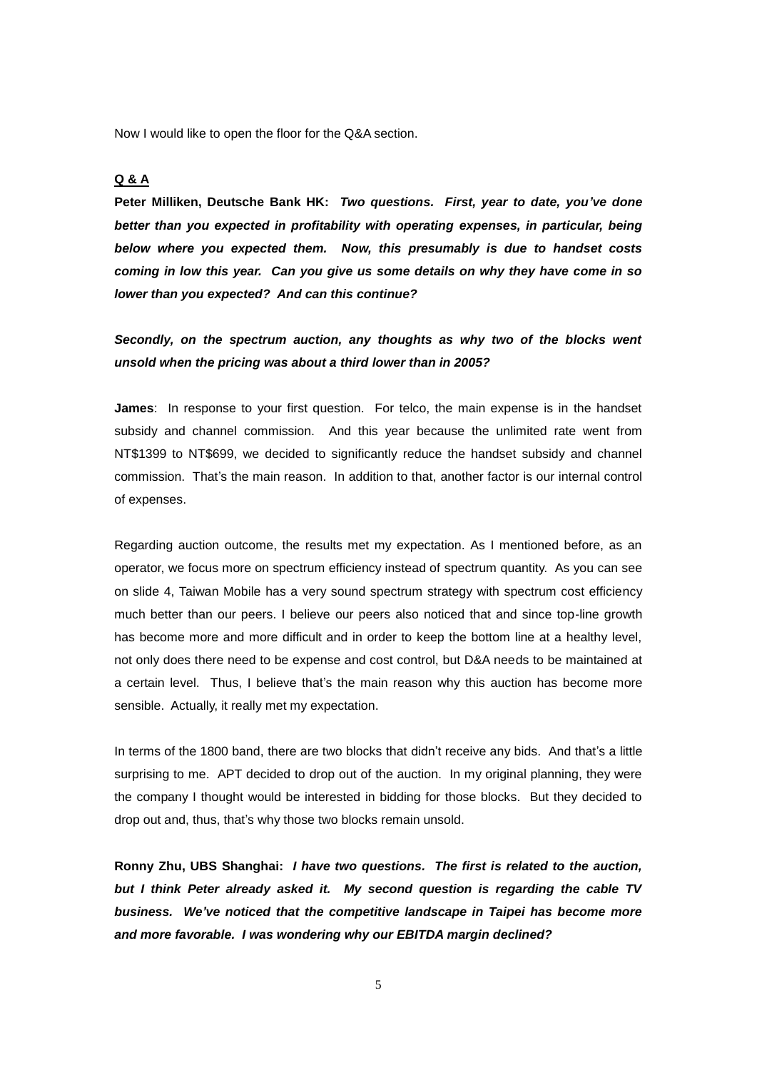Now I would like to open the floor for the Q&A section.

# **Q & A**

**Peter Milliken, Deutsche Bank HK:** *Two questions. First, year to date, you've done better than you expected in profitability with operating expenses, in particular, being below where you expected them. Now, this presumably is due to handset costs coming in low this year. Can you give us some details on why they have come in so lower than you expected? And can this continue?*

*Secondly, on the spectrum auction, any thoughts as why two of the blocks went unsold when the pricing was about a third lower than in 2005?*

**James**: In response to your first question. For telco, the main expense is in the handset subsidy and channel commission. And this year because the unlimited rate went from NT\$1399 to NT\$699, we decided to significantly reduce the handset subsidy and channel commission. That's the main reason. In addition to that, another factor is our internal control of expenses.

Regarding auction outcome, the results met my expectation. As I mentioned before, as an operator, we focus more on spectrum efficiency instead of spectrum quantity. As you can see on slide 4, Taiwan Mobile has a very sound spectrum strategy with spectrum cost efficiency much better than our peers. I believe our peers also noticed that and since top-line growth has become more and more difficult and in order to keep the bottom line at a healthy level, not only does there need to be expense and cost control, but D&A needs to be maintained at a certain level. Thus, I believe that's the main reason why this auction has become more sensible. Actually, it really met my expectation.

In terms of the 1800 band, there are two blocks that didn't receive any bids. And that's a little surprising to me. APT decided to drop out of the auction. In my original planning, they were the company I thought would be interested in bidding for those blocks. But they decided to drop out and, thus, that's why those two blocks remain unsold.

**Ronny Zhu, UBS Shanghai:** *I have two questions. The first is related to the auction, but I think Peter already asked it. My second question is regarding the cable TV business. We've noticed that the competitive landscape in Taipei has become more and more favorable. I was wondering why our EBITDA margin declined?*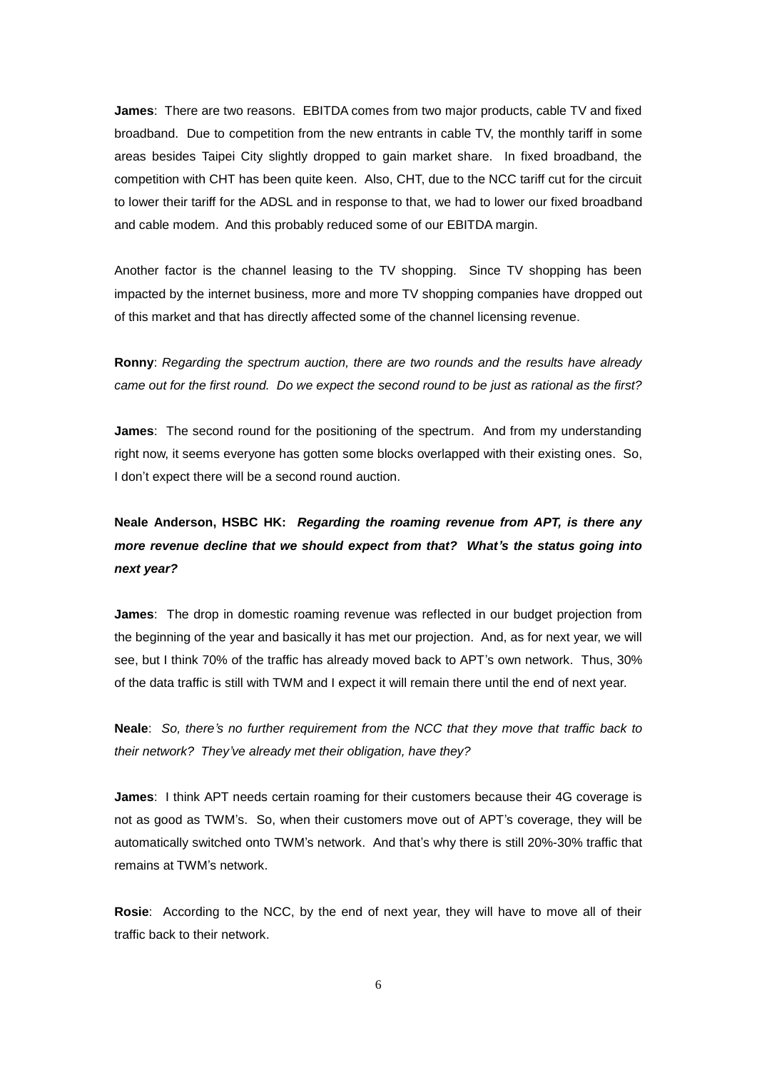**James**: There are two reasons. EBITDA comes from two major products, cable TV and fixed broadband. Due to competition from the new entrants in cable TV, the monthly tariff in some areas besides Taipei City slightly dropped to gain market share. In fixed broadband, the competition with CHT has been quite keen. Also, CHT, due to the NCC tariff cut for the circuit to lower their tariff for the ADSL and in response to that, we had to lower our fixed broadband and cable modem. And this probably reduced some of our EBITDA margin.

Another factor is the channel leasing to the TV shopping. Since TV shopping has been impacted by the internet business, more and more TV shopping companies have dropped out of this market and that has directly affected some of the channel licensing revenue.

**Ronny**: *Regarding the spectrum auction, there are two rounds and the results have already came out for the first round. Do we expect the second round to be just as rational as the first?* 

**James**: The second round for the positioning of the spectrum. And from my understanding right now, it seems everyone has gotten some blocks overlapped with their existing ones. So, I don't expect there will be a second round auction.

**Neale Anderson, HSBC HK:** *Regarding the roaming revenue from APT, is there any more revenue decline that we should expect from that? What's the status going into next year?* 

**James**: The drop in domestic roaming revenue was reflected in our budget projection from the beginning of the year and basically it has met our projection. And, as for next year, we will see, but I think 70% of the traffic has already moved back to APT's own network. Thus, 30% of the data traffic is still with TWM and I expect it will remain there until the end of next year.

**Neale**: *So, there's no further requirement from the NCC that they move that traffic back to their network? They've already met their obligation, have they?* 

**James**: I think APT needs certain roaming for their customers because their 4G coverage is not as good as TWM's. So, when their customers move out of APT's coverage, they will be automatically switched onto TWM's network. And that's why there is still 20%-30% traffic that remains at TWM's network.

**Rosie**: According to the NCC, by the end of next year, they will have to move all of their traffic back to their network.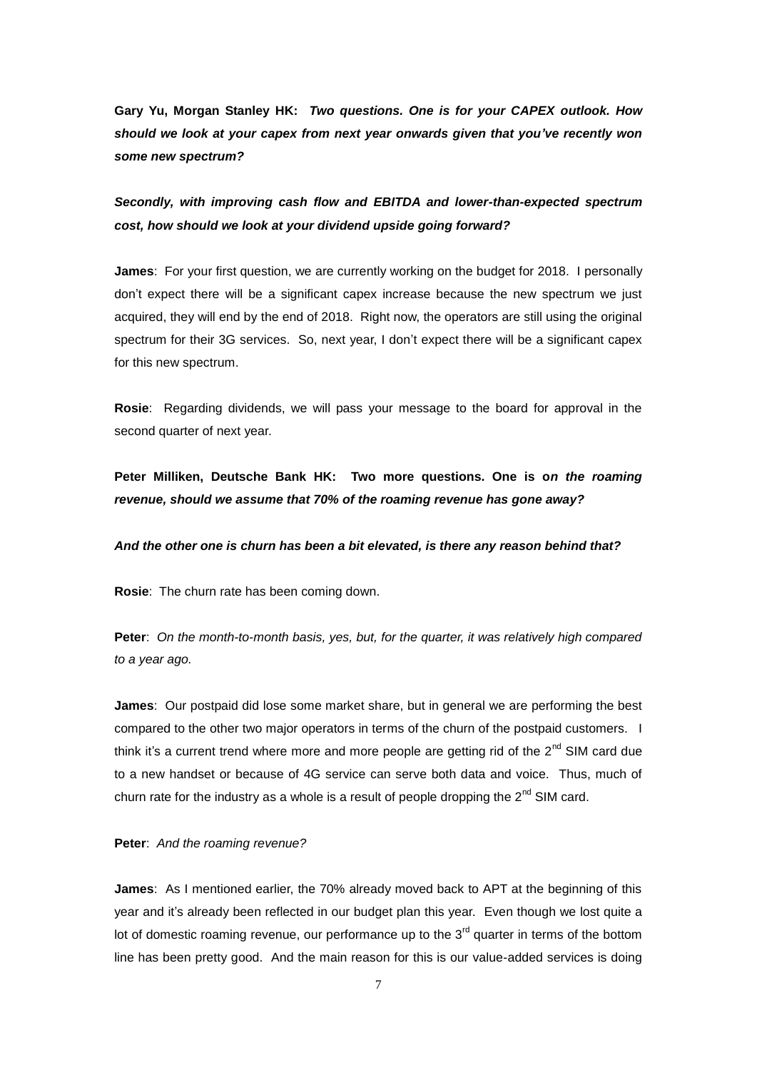**Gary Yu, Morgan Stanley HK:** *Two questions. One is for your CAPEX outlook. How should we look at your capex from next year onwards given that you've recently won some new spectrum?* 

*Secondly, with improving cash flow and EBITDA and lower-than-expected spectrum cost, how should we look at your dividend upside going forward?*

**James**: For your first question, we are currently working on the budget for 2018. I personally don't expect there will be a significant capex increase because the new spectrum we just acquired, they will end by the end of 2018. Right now, the operators are still using the original spectrum for their 3G services. So, next year, I don't expect there will be a significant capex for this new spectrum.

**Rosie**: Regarding dividends, we will pass your message to the board for approval in the second quarter of next year.

**Peter Milliken, Deutsche Bank HK: Two more questions. One is o***n the roaming revenue, should we assume that 70% of the roaming revenue has gone away?*

## *And the other one is churn has been a bit elevated, is there any reason behind that?*

**Rosie**: The churn rate has been coming down.

**Peter**: *On the month-to-month basis, yes, but, for the quarter, it was relatively high compared to a year ago.*

**James**: Our postpaid did lose some market share, but in general we are performing the best compared to the other two major operators in terms of the churn of the postpaid customers. I think it's a current trend where more and more people are getting rid of the  $2<sup>nd</sup>$  SIM card due to a new handset or because of 4G service can serve both data and voice. Thus, much of churn rate for the industry as a whole is a result of people dropping the  $2<sup>nd</sup>$  SIM card.

# **Peter**: *And the roaming revenue?*

**James**: As I mentioned earlier, the 70% already moved back to APT at the beginning of this year and it's already been reflected in our budget plan this year. Even though we lost quite a lot of domestic roaming revenue, our performance up to the  $3<sup>rd</sup>$  quarter in terms of the bottom line has been pretty good. And the main reason for this is our value-added services is doing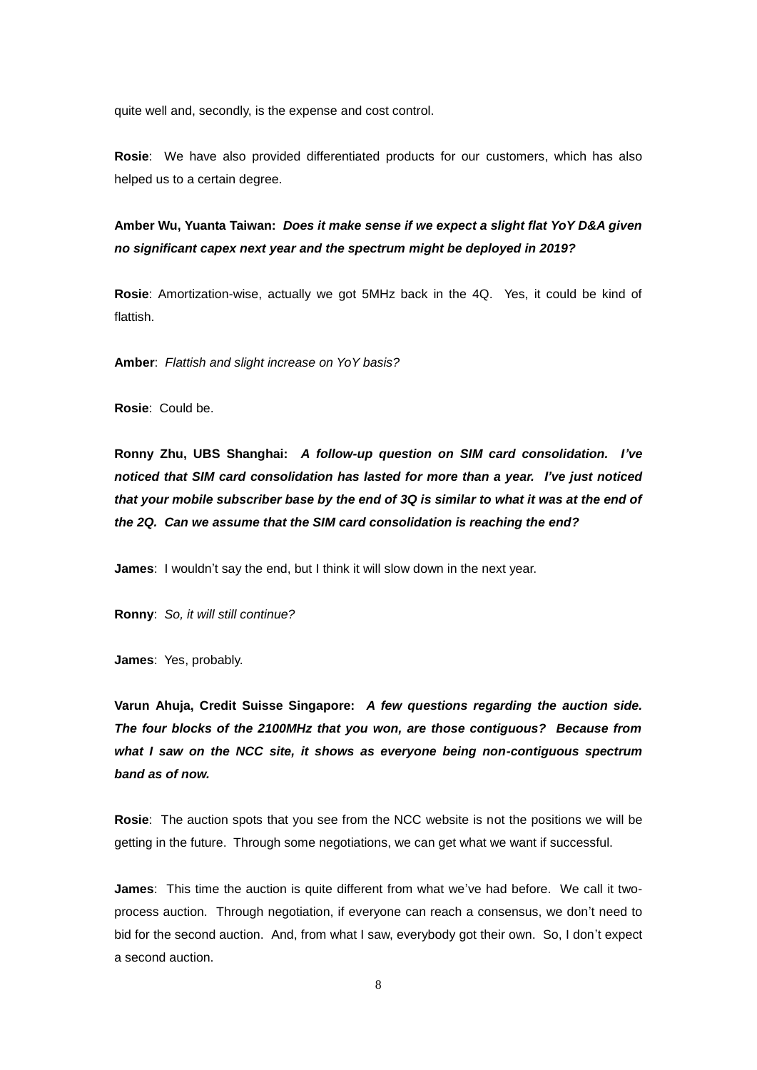quite well and, secondly, is the expense and cost control.

**Rosie**: We have also provided differentiated products for our customers, which has also helped us to a certain degree.

**Amber Wu, Yuanta Taiwan:** *Does it make sense if we expect a slight flat YoY D&A given no significant capex next year and the spectrum might be deployed in 2019?*

**Rosie**: Amortization-wise, actually we got 5MHz back in the 4Q. Yes, it could be kind of flattish.

**Amber**: *Flattish and slight increase on YoY basis?* 

**Rosie**: Could be.

**Ronny Zhu, UBS Shanghai:** *A follow-up question on SIM card consolidation. I've noticed that SIM card consolidation has lasted for more than a year. I've just noticed that your mobile subscriber base by the end of 3Q is similar to what it was at the end of the 2Q. Can we assume that the SIM card consolidation is reaching the end?*

**James**: I wouldn't say the end, but I think it will slow down in the next year.

**Ronny**: *So, it will still continue?*

**James**: Yes, probably.

**Varun Ahuja, Credit Suisse Singapore:** *A few questions regarding the auction side. The four blocks of the 2100MHz that you won, are those contiguous? Because from what I saw on the NCC site, it shows as everyone being non-contiguous spectrum band as of now.*

**Rosie**: The auction spots that you see from the NCC website is not the positions we will be getting in the future. Through some negotiations, we can get what we want if successful.

**James**: This time the auction is quite different from what we've had before. We call it twoprocess auction. Through negotiation, if everyone can reach a consensus, we don't need to bid for the second auction. And, from what I saw, everybody got their own. So, I don't expect a second auction.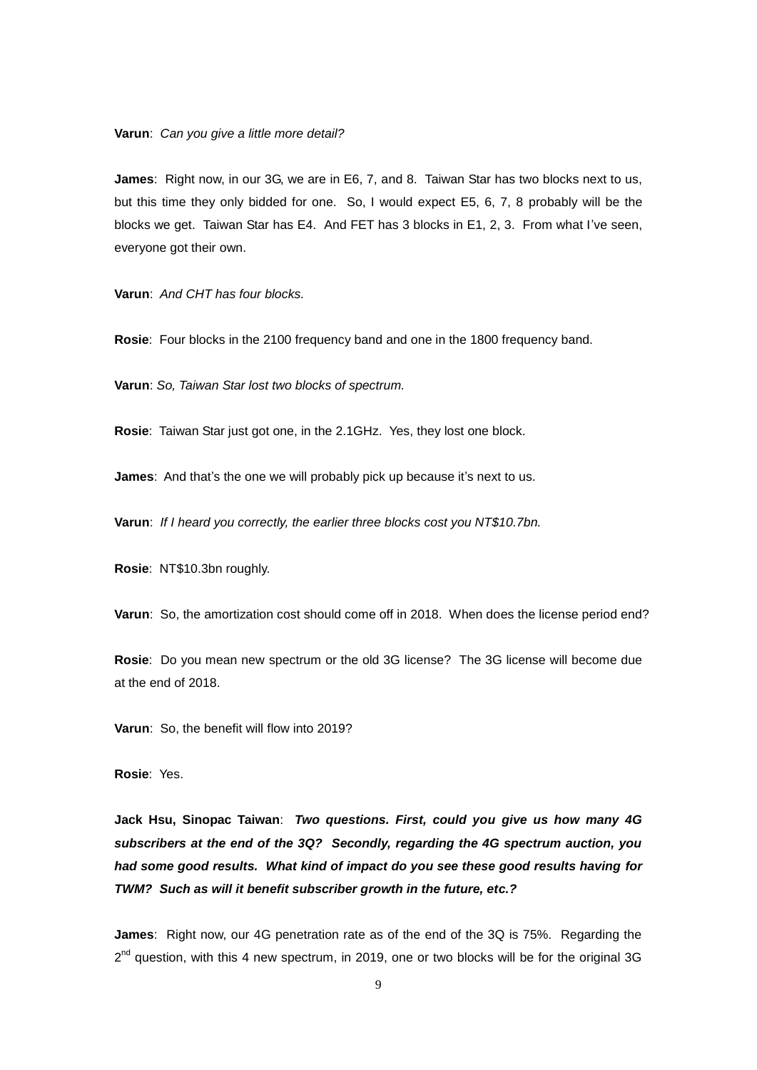**Varun**: *Can you give a little more detail?* 

**James**: Right now, in our 3G, we are in E6, 7, and 8. Taiwan Star has two blocks next to us, but this time they only bidded for one. So, I would expect E5, 6, 7, 8 probably will be the blocks we get. Taiwan Star has E4. And FET has 3 blocks in E1, 2, 3. From what I've seen, everyone got their own.

**Varun**: *And CHT has four blocks.* 

**Rosie**: Four blocks in the 2100 frequency band and one in the 1800 frequency band.

**Varun**: *So, Taiwan Star lost two blocks of spectrum.*

**Rosie**: Taiwan Star just got one, in the 2.1GHz. Yes, they lost one block.

**James**: And that's the one we will probably pick up because it's next to us.

**Varun**: *If I heard you correctly, the earlier three blocks cost you NT\$10.7bn.*

**Rosie**: NT\$10.3bn roughly.

**Varun**: So, the amortization cost should come off in 2018. When does the license period end?

**Rosie**: Do you mean new spectrum or the old 3G license? The 3G license will become due at the end of 2018.

**Varun**: So, the benefit will flow into 2019?

**Rosie**: Yes.

**Jack Hsu, Sinopac Taiwan**: *Two questions. First, could you give us how many 4G subscribers at the end of the 3Q? Secondly, regarding the 4G spectrum auction, you had some good results. What kind of impact do you see these good results having for TWM? Such as will it benefit subscriber growth in the future, etc.?* 

**James**: Right now, our 4G penetration rate as of the end of the 3Q is 75%. Regarding the  $2^{nd}$  question, with this 4 new spectrum, in 2019, one or two blocks will be for the original 3G